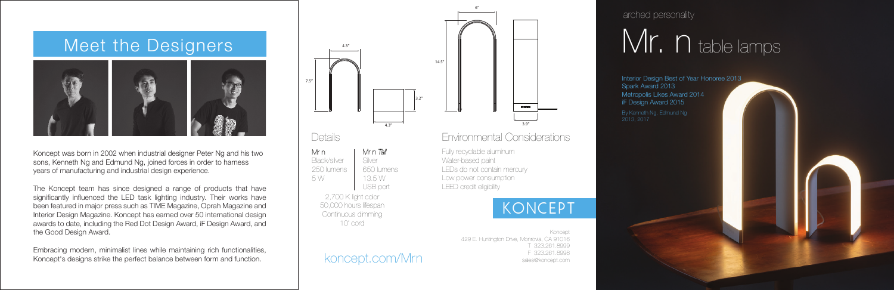Koncept was born in 2002 when industrial designer Peter Ng and his two sons, Kenneth Ng and Edmund Ng, joined forces in order to harness years of manufacturing and industrial design experience.

The Koncept team has since designed a range of products that have significantly influenced the LED task lighting industry. Their works have been featured in major press such as TIME Magazine, Oprah Magazine and Interior Design Magazine. Koncept has earned over 50 international design awards to date, including the Red Dot Design Award, iF Design Award, and the Good Design Award.

Embracing modern, minimalist lines while maintaining rich functionalities, Koncept's designs strike the perfect balance between form and function.

Interior Design Best of Year Honoree 2013 Metropolis Likes Award 2014

# Meet the Designers



#### koncept.com/Mrn

Koncept 429 E. Huntington Drive, Monrovia, CA 91016 T 323.261.8999 F 323.261.8998 sales@koncept.com

### Environmental Considerations



LEDs do not contain mercury Low power consumption LEED credit eligibility

# KONCEPT

7.5"

Mr n

250 lumens 5 W

650 lumens 13.5 W USB port

2,700 K light color 50,000 hours lifespan Continuous dimming 10' cord

Spark Award 2013 iF Design Award 2015

arched personality

# Mr. n table lamps